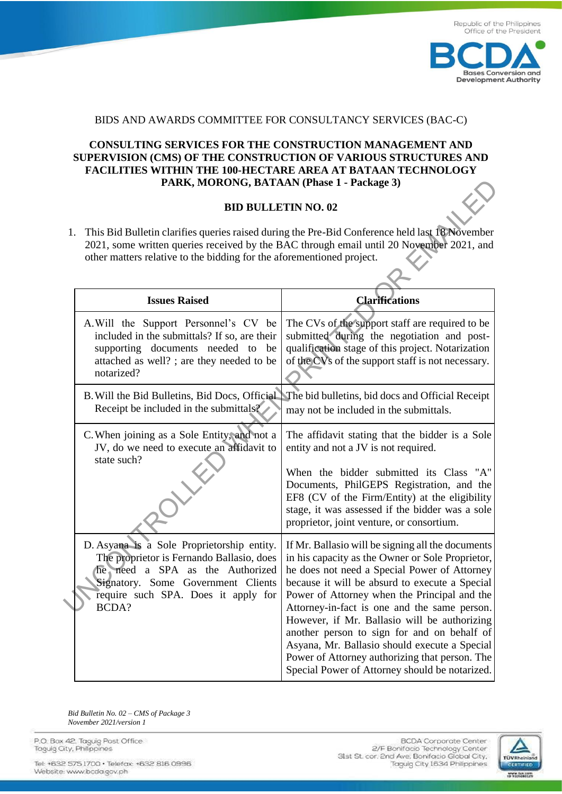

# BIDS AND AWARDS COMMITTEE FOR CONSULTANCY SERVICES (BAC-C)

## **CONSULTING SERVICES FOR THE CONSTRUCTION MANAGEMENT AND SUPERVISION (CMS) OF THE CONSTRUCTION OF VARIOUS STRUCTURES AND FACILITIES WITHIN THE 100-HECTARE AREA AT BATAAN TECHNOLOGY PARK, MORONG, BATAAN (Phase 1 - Package 3)**

#### **BID BULLETIN NO. 02**

|    | PARK, MORONG, BATAAN (Phase 1 - Package 3)                                                                                                                                                                                                                          |                                                                                                                                                                                                                                                                                                                                                                                                                                                                                                                                                             |  |
|----|---------------------------------------------------------------------------------------------------------------------------------------------------------------------------------------------------------------------------------------------------------------------|-------------------------------------------------------------------------------------------------------------------------------------------------------------------------------------------------------------------------------------------------------------------------------------------------------------------------------------------------------------------------------------------------------------------------------------------------------------------------------------------------------------------------------------------------------------|--|
|    | <b>BID BULLETIN NO. 02</b>                                                                                                                                                                                                                                          |                                                                                                                                                                                                                                                                                                                                                                                                                                                                                                                                                             |  |
| 1. | This Bid Bulletin clarifies queries raised during the Pre-Bid Conference held last 18 November<br>2021, some written queries received by the BAC through email until 20 November 2021, and<br>other matters relative to the bidding for the aforementioned project. |                                                                                                                                                                                                                                                                                                                                                                                                                                                                                                                                                             |  |
|    | <b>Issues Raised</b>                                                                                                                                                                                                                                                | <b>Clarifications</b>                                                                                                                                                                                                                                                                                                                                                                                                                                                                                                                                       |  |
|    | A. Will the Support Personnel's CV be<br>included in the submittals? If so, are their<br>supporting documents needed to be<br>attached as well?; are they needed to be<br>notarized?                                                                                | The CVs of the support staff are required to be<br>submitted during the negotiation and post-<br>qualification stage of this project. Notarization<br>of the CVs of the support staff is not necessary.                                                                                                                                                                                                                                                                                                                                                     |  |
|    | Receipt be included in the submittals?                                                                                                                                                                                                                              | B. Will the Bid Bulletins, Bid Docs, Official The bid bulletins, bid docs and Official Receipt<br>may not be included in the submittals.                                                                                                                                                                                                                                                                                                                                                                                                                    |  |
|    | C. When joining as a Sole Entity, and not a<br>JV, do we need to execute an affidavit to<br>state such?                                                                                                                                                             | The affidavit stating that the bidder is a Sole<br>entity and not a JV is not required.                                                                                                                                                                                                                                                                                                                                                                                                                                                                     |  |
|    |                                                                                                                                                                                                                                                                     | When the bidder submitted its Class "A"<br>Documents, PhilGEPS Registration, and the<br>EF8 (CV of the Firm/Entity) at the eligibility<br>stage, it was assessed if the bidder was a sole<br>proprietor, joint venture, or consortium.                                                                                                                                                                                                                                                                                                                      |  |
|    | D. Asyana is a Sole Proprietorship entity.<br>The proprietor is Fernando Ballasio, does<br>he need a SPA as the Authorized<br>Signatory. Some Government Clients<br>require such SPA. Does it apply for<br>BCDA?                                                    | If Mr. Ballasio will be signing all the documents<br>in his capacity as the Owner or Sole Proprietor,<br>he does not need a Special Power of Attorney<br>because it will be absurd to execute a Special<br>Power of Attorney when the Principal and the<br>Attorney-in-fact is one and the same person.<br>However, if Mr. Ballasio will be authorizing<br>another person to sign for and on behalf of<br>Asyana, Mr. Ballasio should execute a Special<br>Power of Attorney authorizing that person. The<br>Special Power of Attorney should be notarized. |  |

*Bid Bulletin No. 02 – CMS of Package 3 November 2021/version 1*

P.O. Box 42. Taguig Post Office Taguig City, Philippines

Tel: +632 575 1700 · Telefax: +632 816 0996 Website: www.bcda.gov.ph

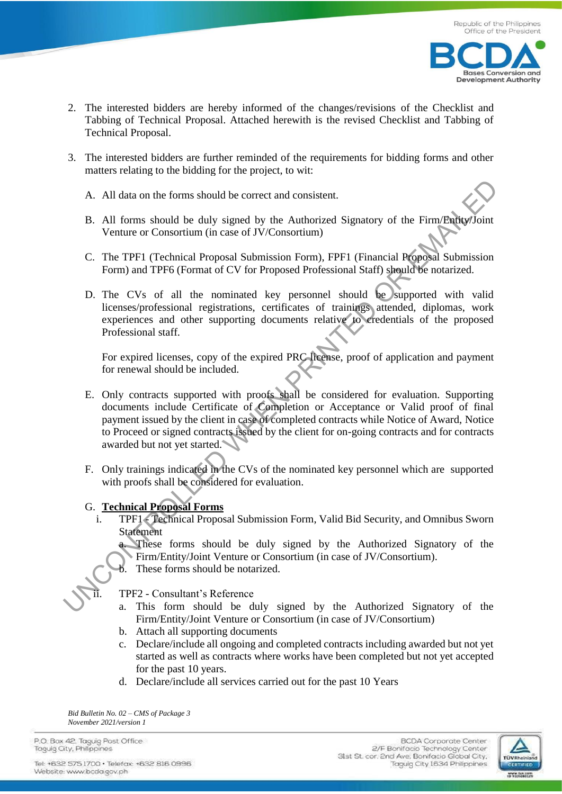

- 2. The interested bidders are hereby informed of the changes/revisions of the Checklist and Tabbing of Technical Proposal. Attached herewith is the revised Checklist and Tabbing of Technical Proposal.
- 3. The interested bidders are further reminded of the requirements for bidding forms and other matters relating to the bidding for the project, to wit:
	- A. All data on the forms should be correct and consistent.
	- B. All forms should be duly signed by the Authorized Signatory of the Firm/Entity/Joint Venture or Consortium (in case of JV/Consortium)
	- C. The TPF1 (Technical Proposal Submission Form), FPF1 (Financial Proposal Submission Form) and TPF6 (Format of CV for Proposed Professional Staff) should be notarized.
	- D. The CVs of all the nominated key personnel should be supported with valid licenses/professional registrations, certificates of trainings attended, diplomas, work experiences and other supporting documents relative to credentials of the proposed Professional staff.

For expired licenses, copy of the expired PRC license, proof of application and payment for renewal should be included.

- E. Only contracts supported with proofs shall be considered for evaluation. Supporting documents include Certificate of Completion or Acceptance or Valid proof of final payment issued by the client in case of completed contracts while Notice of Award, Notice to Proceed or signed contracts issued by the client for on-going contracts and for contracts awarded but not yet started. A. All data on the forms should be correct and consistent.<br>
B. All forms should be duly signed by the Authorized Signatory of the Firm/ParthyJoint<br>
Venture or Consortium (in case of JV/Consortium). FFF1 (Financial Proposa
	- F. Only trainings indicated in the CVs of the nominated key personnel which are supported with proofs shall be considered for evaluation.

# G. **Technical Proposal Forms**

- i. TPF1 Technical Proposal Submission Form, Valid Bid Security, and Omnibus Sworn Statement
	- a. These forms should be duly signed by the Authorized Signatory of the Firm/Entity/Joint Venture or Consortium (in case of JV/Consortium).
	- These forms should be notarized.

TPF2 - Consultant's Reference

- a. This form should be duly signed by the Authorized Signatory of the Firm/Entity/Joint Venture or Consortium (in case of JV/Consortium)
- b. Attach all supporting documents
- c. Declare/include all ongoing and completed contracts including awarded but not yet started as well as contracts where works have been completed but not yet accepted for the past 10 years.
- d. Declare/include all services carried out for the past 10 Years

*Bid Bulletin No. 02 – CMS of Package 3 November 2021/version 1*

P.O. Box 42. Taguig Post Office Taguig City, Philippines

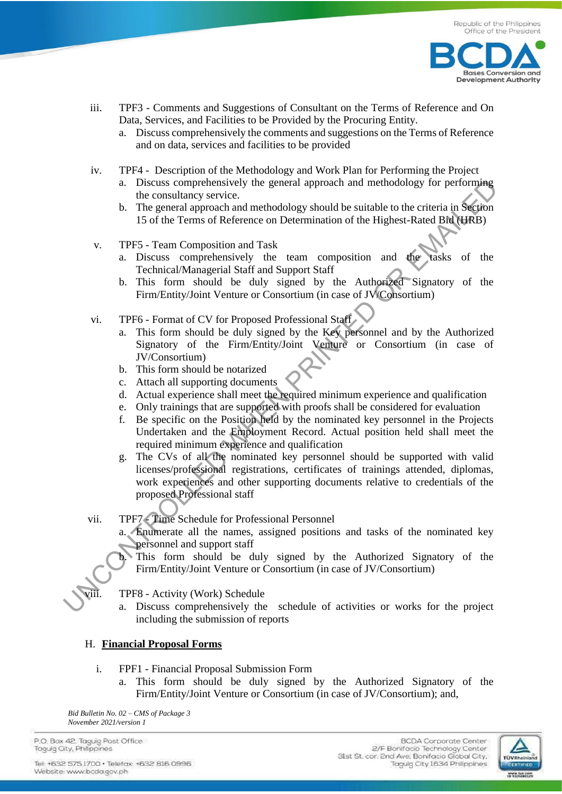

- iii. TPF3 Comments and Suggestions of Consultant on the Terms of Reference and On Data, Services, and Facilities to be Provided by the Procuring Entity.
	- a. Discuss comprehensively the comments and suggestions on the Terms of Reference and on data, services and facilities to be provided
- iv. TPF4 Description of the Methodology and Work Plan for Performing the Project
	- a. Discuss comprehensively the general approach and methodology for performing the consultancy service.
	- b. The general approach and methodology should be suitable to the criteria in Section 15 of the Terms of Reference on Determination of the Highest-Rated Bid (HRB)
- v. TPF5 Team Composition and Task
	- a. Discuss comprehensively the team composition and the tasks of the Technical/Managerial Staff and Support Staff
	- b. This form should be duly signed by the Authorized Signatory of the Firm/Entity/Joint Venture or Consortium (in case of JV/Consortium)
- vi. TPF6 Format of CV for Proposed Professional Staff
	- a. This form should be duly signed by the Key personnel and by the Authorized Signatory of the Firm/Entity/Joint Venture or Consortium (in case of JV/Consortium)
	- b. This form should be notarized
	- c. Attach all supporting documents
	- d. Actual experience shall meet the required minimum experience and qualification
	- e. Only trainings that are supported with proofs shall be considered for evaluation
	- f. Be specific on the Position held by the nominated key personnel in the Projects Undertaken and the Employment Record. Actual position held shall meet the required minimum experience and qualification
- g. The CVs of all the nominated key personnel should be supported with valid licenses/professional registrations, certificates of trainings attended, diplomas, work experiences and other supporting documents relative to credentials of the proposed Professional staff A Discuss comprehensively the general approach and methodology for performing<br>
the consultancy service.<br>
The general approach and methodology should be suitable to the criteria in Segition<br>
15 of the Terms of Reference on

vii. TPF7 - Time Schedule for Professional Personnel

- a. Enumerate all the names, assigned positions and tasks of the nominated key personnel and support staff
- b. This form should be duly signed by the Authorized Signatory of the Firm/Entity/Joint Venture or Consortium (in case of JV/Consortium)

TPF8 - Activity (Work) Schedule

a. Discuss comprehensively the schedule of activities or works for the project including the submission of reports

### H. **Financial Proposal Forms**

- i. FPF1 Financial Proposal Submission Form
	- a. This form should be duly signed by the Authorized Signatory of the Firm/Entity/Joint Venture or Consortium (in case of JV/Consortium); and,

*Bid Bulletin No. 02 – CMS of Package 3 November 2021/version 1*

P.O. Box 42. Taguig Post Office Taguig City, Philippines

Tel: +632 575 1700 · Telefax: +632 816 0996 Website: www.bcda.gov.ph

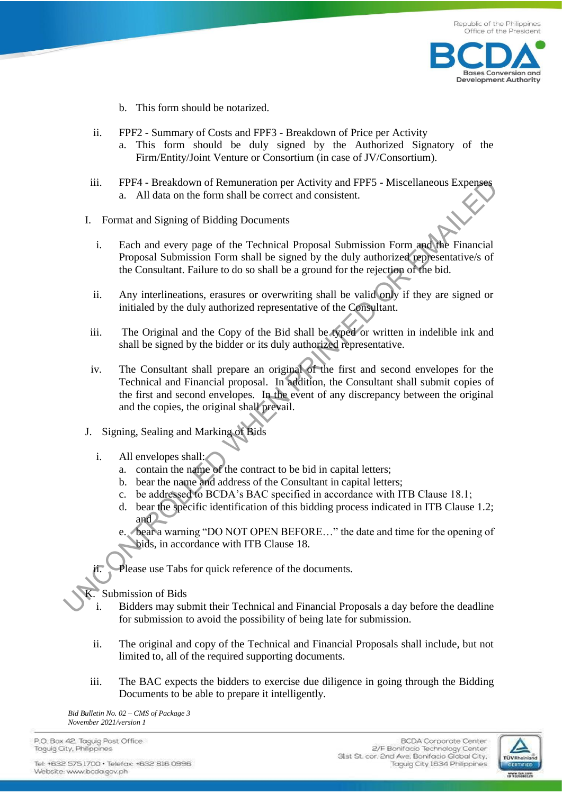

- b. This form should be notarized.
- ii. FPF2 Summary of Costs and FPF3 Breakdown of Price per Activity a. This form should be duly signed by the Authorized Signatory of the Firm/Entity/Joint Venture or Consortium (in case of JV/Consortium).
- iii. FPF4 Breakdown of Remuneration per Activity and FPF5 Miscellaneous Expenses a. All data on the form shall be correct and consistent.
- I. Format and Signing of Bidding Documents
	- i. Each and every page of the Technical Proposal Submission Form and the Financial Proposal Submission Form shall be signed by the duly authorized representative/s of the Consultant. Failure to do so shall be a ground for the rejection of the bid.
	- ii. Any interlineations, erasures or overwriting shall be valid only if they are signed or initialed by the duly authorized representative of the Consultant.
- iii. The Original and the Copy of the Bid shall be typed or written in indelible ink and shall be signed by the bidder or its duly authorized representative.
- iv. The Consultant shall prepare an original of the first and second envelopes for the Technical and Financial proposal. In addition, the Consultant shall submit copies of the first and second envelopes. In the event of any discrepancy between the original and the copies, the original shall prevail. 11. FPF4 - Breakdown of Remuneration per Activity and FPF5 - Miscellaneous Expenses<br>
1. Format and Sigming of Bidding Documents<br>
1. Fach and every nage of the Technical Proposal Submission Form shall be signed by the dul
	- J. Signing, Sealing and Marking of Bids
		- i. All envelopes shall:
			- a. contain the name of the contract to be bid in capital letters;
			- b. bear the name and address of the Consultant in capital letters;
			- c. be addressed to BCDA's BAC specified in accordance with ITB Clause 18.1;
			- d. bear the specific identification of this bidding process indicated in ITB Clause 1.2; and
			- e. bear a warning "DO NOT OPEN BEFORE…" the date and time for the opening of bids, in accordance with ITB Clause 18.
			- Please use Tabs for quick reference of the documents.

**Submission of Bids** 

- i. Bidders may submit their Technical and Financial Proposals a day before the deadline for submission to avoid the possibility of being late for submission.
- ii. The original and copy of the Technical and Financial Proposals shall include, but not limited to, all of the required supporting documents.
- iii. The BAC expects the bidders to exercise due diligence in going through the Bidding Documents to be able to prepare it intelligently.

*Bid Bulletin No. 02 – CMS of Package 3 November 2021/version 1*

P.O. Box 42. Taguig Post Office Taguig City, Philippines